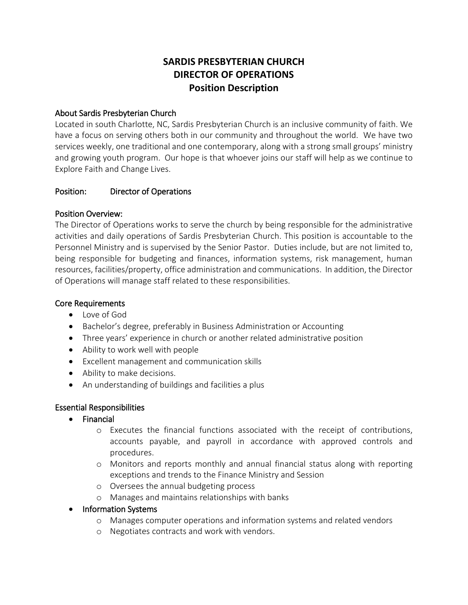# **SARDIS PRESBYTERIAN CHURCH DIRECTOR OF OPERATIONS Position Description**

### About Sardis Presbyterian Church

Located in south Charlotte, NC, Sardis Presbyterian Church is an inclusive community of faith. We have a focus on serving others both in our community and throughout the world. We have two services weekly, one traditional and one contemporary, along with a strong small groups' ministry and growing youth program. Our hope is that whoever joins our staff will help as we continue to Explore Faith and Change Lives.

#### Position: Director of Operations

#### Position Overview:

The Director of Operations works to serve the church by being responsible for the administrative activities and daily operations of Sardis Presbyterian Church. This position is accountable to the Personnel Ministry and is supervised by the Senior Pastor. Duties include, but are not limited to, being responsible for budgeting and finances, information systems, risk management, human resources, facilities/property, office administration and communications. In addition, the Director of Operations will manage staff related to these responsibilities.

#### Core Requirements

- Love of God
- Bachelor's degree, preferably in Business Administration or Accounting
- Three years' experience in church or another related administrative position
- Ability to work well with people
- Excellent management and communication skills
- Ability to make decisions.
- An understanding of buildings and facilities a plus

#### Essential Responsibilities

- Financial
	- o Executes the financial functions associated with the receipt of contributions, accounts payable, and payroll in accordance with approved controls and procedures.
	- o Monitors and reports monthly and annual financial status along with reporting exceptions and trends to the Finance Ministry and Session
	- o Oversees the annual budgeting process
	- o Manages and maintains relationships with banks
- Information Systems
	- o Manages computer operations and information systems and related vendors
	- o Negotiates contracts and work with vendors.